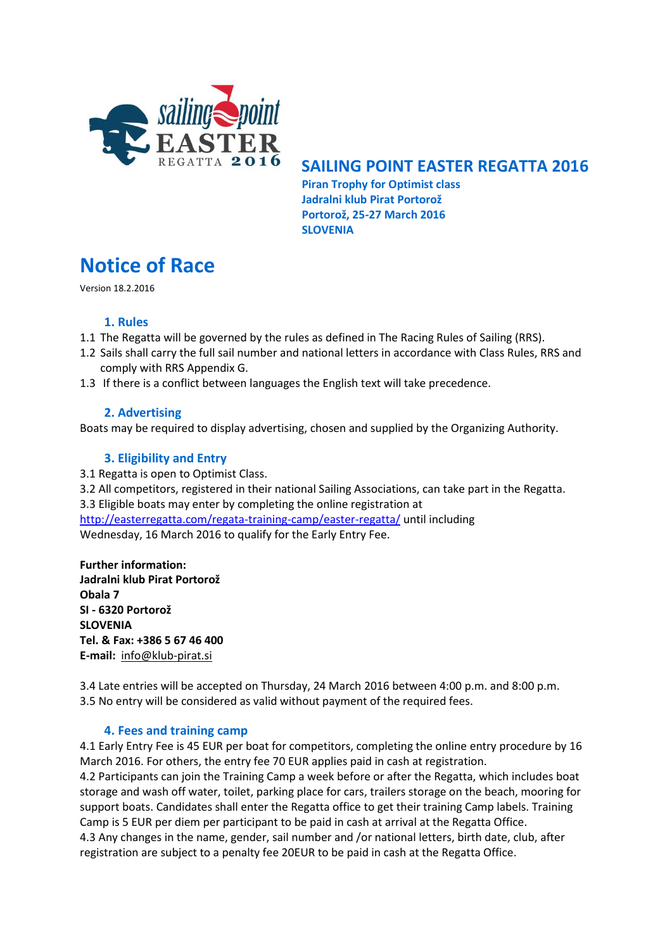

## **SAILING POINT EASTER REGATTA 2016**

 **Piran Trophy for Optimist class Jadralni klub Pirat Portorož Portorož, 25-27 March 2016 SLOVENIA**

# **Notice of Race**

Version 18.2.2016

## **1. Rules**

- 1.1 The Regatta will be governed by the rules as defined in The Racing Rules of Sailing (RRS).
- 1.2 Sails shall carry the full sail number and national letters in accordance with Class Rules, RRS and comply with RRS Appendix G.
- 1.3 If there is a conflict between languages the English text will take precedence.

## **2. Advertising**

Boats may be required to display advertising, chosen and supplied by the Organizing Authority.

## **3. Eligibility and Entry**

3.1 Regatta is open to Optimist Class.

3.2 All competitors, registered in their national Sailing Associations, can take part in the Regatta. 3.3 Eligible boats may enter by completing the online registration at <http://easterregatta.com/regata-training-camp/easter-regatta/> until including Wednesday, 16 March 2016 to qualify for the Early Entry Fee.

**Further information: Jadralni klub Pirat Portorož Obala 7 SI - 6320 Portorož SLOVENIA Tel. & Fax: +386 5 67 46 400 E-mail:** info@klub-pirat.si

3.4 Late entries will be accepted on Thursday, 24 March 2016 between 4:00 p.m. and 8:00 p.m. 3.5 No entry will be considered as valid without payment of the required fees.

## **4. Fees and training camp**

4.1 Early Entry Fee is 45 EUR per boat for competitors, completing the online entry procedure by 16 March 2016. For others, the entry fee 70 EUR applies paid in cash at registration.

4.2 Participants can join the Training Camp a week before or after the Regatta, which includes boat storage and wash off water, toilet, parking place for cars, trailers storage on the beach, mooring for support boats. Candidates shall enter the Regatta office to get their training Camp labels. Training Camp is 5 EUR per diem per participant to be paid in cash at arrival at the Regatta Office. 4.3 Any changes in the name, gender, sail number and /or national letters, birth date, club, after

registration are subject to a penalty fee 20EUR to be paid in cash at the Regatta Office.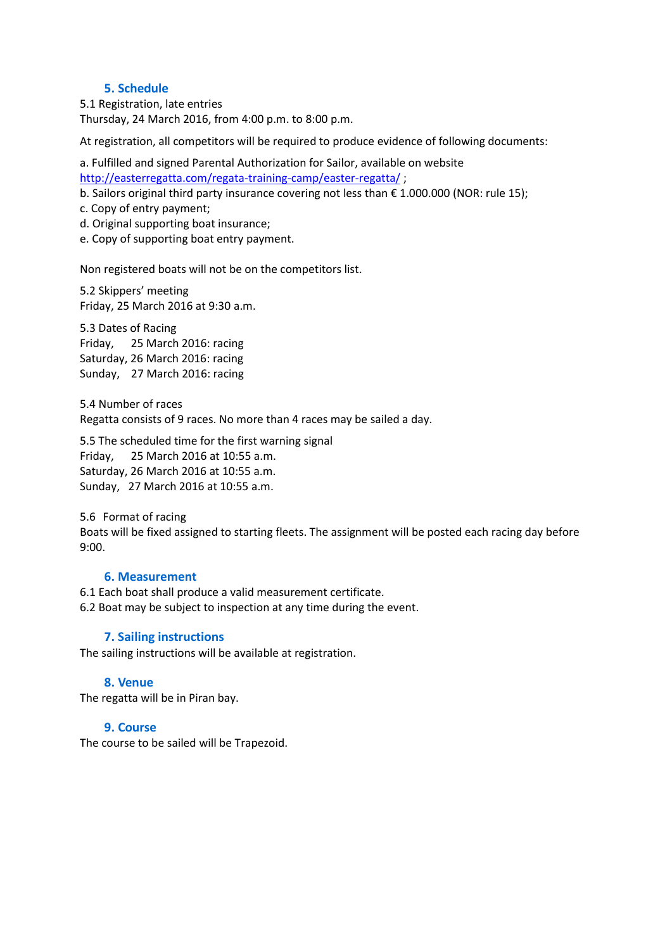### **5. Schedule**

5.1 Registration, late entries Thursday, 24 March 2016, from 4:00 p.m. to 8:00 p.m.

At registration, all competitors will be required to produce evidence of following documents:

a. Fulfilled and signed Parental Authorization for Sailor, available on website <http://easterregatta.com/regata-training-camp/easter-regatta/>;

b. Sailors original third party insurance covering not less than € 1.000.000 (NOR: rule 15);

- c. Copy of entry payment;
- d. Original supporting boat insurance;
- e. Copy of supporting boat entry payment.

Non registered boats will not be on the competitors list.

5.2 Skippers' meeting Friday, 25 March 2016 at 9:30 a.m.

5.3 Dates of Racing Friday, 25 March 2016: racing Saturday, 26 March 2016: racing Sunday, 27 March 2016: racing

5.4 Number of races Regatta consists of 9 races. No more than 4 races may be sailed a day.

5.5 The scheduled time for the first warning signal Friday, 25 March 2016 at 10:55 a.m. Saturday, 26 March 2016 at 10:55 a.m. Sunday, 27 March 2016 at 10:55 a.m.

5.6 Format of racing Boats will be fixed assigned to starting fleets. The assignment will be posted each racing day before 9:00.

#### **6. Measurement**

6.1 Each boat shall produce a valid measurement certificate.

6.2 Boat may be subject to inspection at any time during the event.

#### **7. Sailing instructions**

The sailing instructions will be available at registration.

#### **8. Venue**

The regatta will be in Piran bay.

#### **9. Course**

The course to be sailed will be Trapezoid.